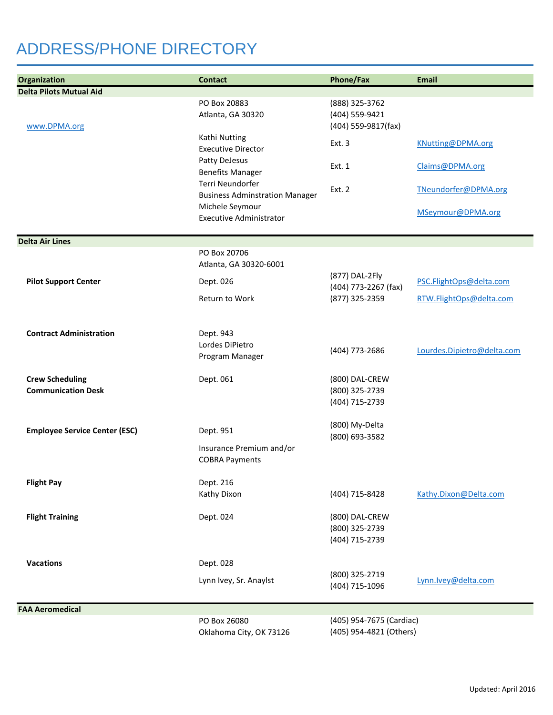## ADDRESS/PHONE DIRECTORY

| Organization                                        | <b>Contact</b>                                            | <b>Phone/Fax</b>                                        | <b>Email</b>               |
|-----------------------------------------------------|-----------------------------------------------------------|---------------------------------------------------------|----------------------------|
| <b>Delta Pilots Mutual Aid</b>                      |                                                           |                                                         |                            |
| www.DPMA.org                                        | PO Box 20883<br>Atlanta, GA 30320                         | (888) 325-3762<br>(404) 559-9421<br>(404) 559-9817(fax) |                            |
|                                                     | Kathi Nutting<br><b>Executive Director</b>                | Ext. 3                                                  | KNutting@DPMA.org          |
|                                                     | Patty DeJesus<br><b>Benefits Manager</b>                  | Ext. 1                                                  | Claims@DPMA.org            |
|                                                     | Terri Neundorfer<br><b>Business Adminstration Manager</b> | <b>Ext. 2</b>                                           | TNeundorfer@DPMA.org       |
|                                                     | Michele Seymour<br><b>Executive Administrator</b>         |                                                         | MSeymour@DPMA.org          |
| <b>Delta Air Lines</b>                              |                                                           |                                                         |                            |
|                                                     | PO Box 20706<br>Atlanta, GA 30320-6001                    |                                                         |                            |
| <b>Pilot Support Center</b>                         | Dept. 026                                                 | (877) DAL-2Fly<br>(404) 773-2267 (fax)                  | PSC.FlightOps@delta.com    |
|                                                     | Return to Work                                            | (877) 325-2359                                          | RTW.FlightOps@delta.com    |
| <b>Contract Administration</b>                      | Dept. 943<br>Lordes DiPietro<br>Program Manager           | (404) 773-2686                                          | Lourdes.Dipietro@delta.com |
| <b>Crew Scheduling</b><br><b>Communication Desk</b> | Dept. 061                                                 | (800) DAL-CREW<br>(800) 325-2739<br>(404) 715-2739      |                            |
| <b>Employee Service Center (ESC)</b>                | Dept. 951                                                 | (800) My-Delta<br>(800) 693-3582                        |                            |
|                                                     | Insurance Premium and/or<br><b>COBRA Payments</b>         |                                                         |                            |
| <b>Flight Pay</b>                                   | Dept. 216<br>Kathy Dixon                                  | (404) 715-8428                                          | Kathy.Dixon@Delta.com      |
| <b>Flight Training</b>                              | Dept. 024                                                 | (800) DAL-CREW<br>(800) 325-2739<br>(404) 715-2739      |                            |
| <b>Vacations</b>                                    | Dept. 028                                                 |                                                         |                            |
|                                                     | Lynn Ivey, Sr. Anaylst                                    | (800) 325-2719<br>(404) 715-1096                        | Lynn.lvey@delta.com        |
| <b>FAA Aeromedical</b>                              |                                                           |                                                         |                            |
|                                                     | PO Box 26080<br>Oklahoma City, OK 73126                   | (405) 954-7675 (Cardiac)<br>(405) 954-4821 (Others)     |                            |